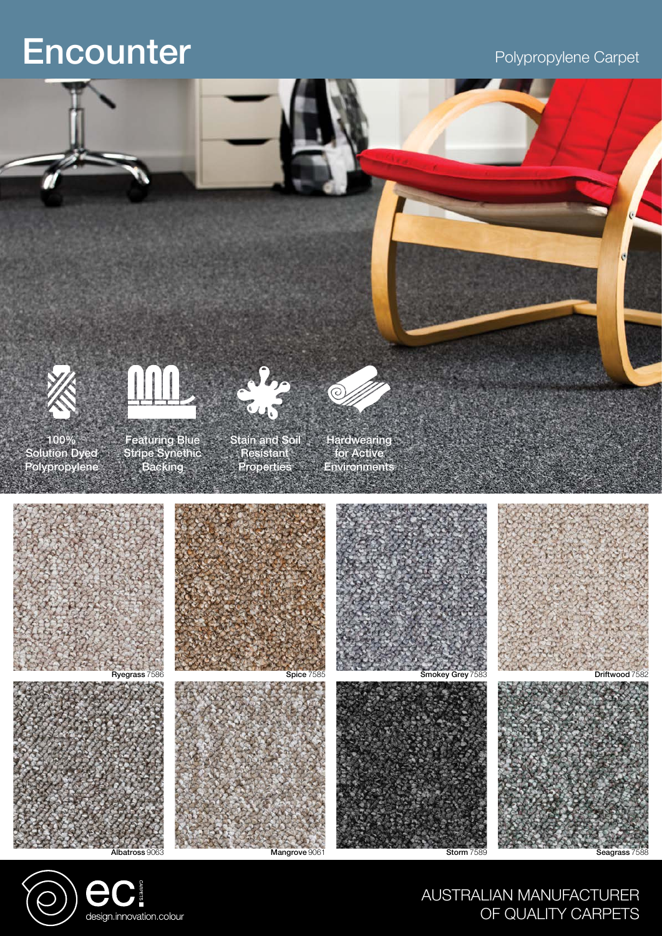# Encounter Polypropylene Carpet





AUSTRALIAN MANUFACTURER OF QUALITY CARPETS